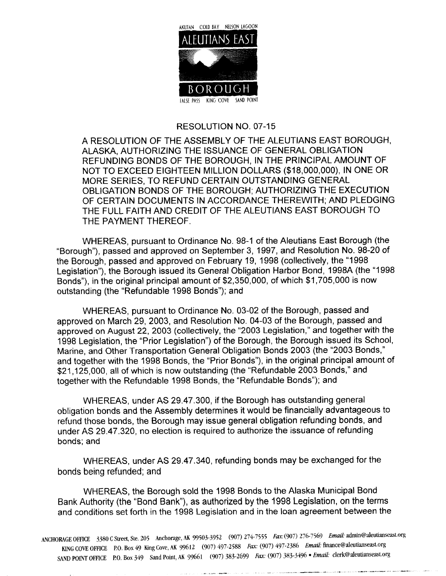

### RESOLUTION NO. 07-15

A RESOLUTION OF THE ASSEMBLY OF THE ALEUTIANS EAST BOROUGH ALASKA AUTHORIZING THE ISSUANCE OF GENERAL OBLIGATION REFUNDING BONDS OF THE BOROUGH, IN THE PRINCIPAL AMOUNT OF NOT TO EXCEED EIGHTEEN MILLION DOLLARS (\$18,000,000), IN ONE OR MORE SERIES, TO REFUND CERTAIN OUTSTANDING GENERAL OBLIGATION BONDS OF THE BOROUGH; AUTHORIZING THE EXECUTION OF CERTAIN DOCUMENTS IN ACCORDANCE THEREWITH; AND PLEDGING THE FULL FAITH AND CREDIT OF THE ALEUTIANS EAST BOROUGH TO THE PAYMENT THEREOF

WHEREAS, pursuant to Ordinance No. 98-1 of the Aleutians East Borough (the "Borough"), passed and approved on September 3, 1997, and Resolution No. 98-20 of the Borough, passed and approved on February 19, 1998 (collectively, the "1998 Legislation"), the Borough issued its General Obligation Harbor Bond. 1998A (the "1998 Bonds"), in the original principal amount of \$2,350,000, of which \$1,705,000 is now outstanding (the "Refundable 1998 Bonds"); and

WHEREAS, pursuant to Ordinance No. 03-02 of the Borough, passed and approved on March 29, 2003, and Resolution No. 04-03 of the Borough, passed and approved on August 22, 2003 (collectively, the "2003 Legislation," and together with the 1998 Legislation, the "Prior Legislation") of the Borough, the Borough issued its School, Marine, and Other Transportation General Obligation Bonds 2003 (the "2003 Bonds," and together with the 1998 Bonds, the "Prior Bonds"), in the original principal amount of \$21,125,000, all of which is now outstanding (the "Refundable 2003 Bonds," and together with the Refundable 1998 Bonds, the "Refundable Bonds"); and

WHEREAS, under AS 29.47.300, if the Borough has outstanding general obligation bonds and the Assembly determines it would be financially advantageous to refund those bonds, the Borough may issue general obligation refunding bonds, and under AS 29.47.320, no election is required to authorize the issuance of refunding bonds; and

WHEREAS, under AS 29.47.340, refunding bonds may be exchanged for the bonds being refunded; and

WHEREAS, the Borough sold the 1998 Bonds to the Alaska Municipal Bond Bank Authority (the "Bond Bank"), as authorized by the 1998 Legislation, on the terms and conditions set forth in the 1998 Legislation and in the loan agreement between the

ANCHORAGE OFFICE 3380 C Street, Ste. 205 Anchorage, AK 99503-3952 (907) 274-7555 Fax: (907) 276-7569 Email: admin@aleutianseast.org KING COVE OFFICE P.O. Box 49 King Cove, AK 99612 (907) 497-2588 Fax: (907) 497-2386 Email: finance@aleutianseast.org SAND POINT OFFICE P.O. Box 349 Sand Point, AK 99661 (907) 383-2699 Fax: (907) 383-3496 • Email: clerk@aleutianseast.org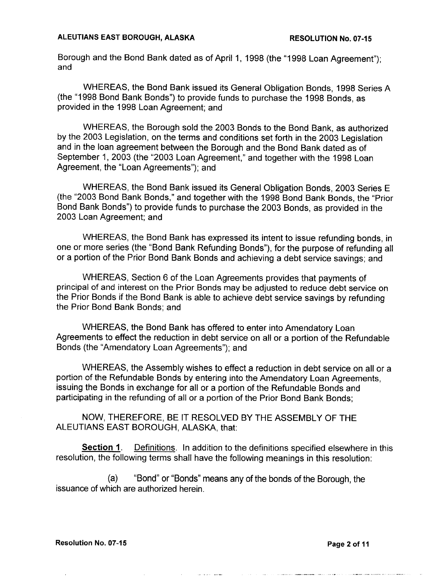Borough and the Bond Bank dated as of April 1, 1998 (the "1998 Loan Agreement"); and

WHEREAS, the Bond Bank issued its General Obligation Bonds, 1998 Series A (the "1998 Bond Bank Bonds") to provide funds to purchase the 1998 Bonds, as provided in the 1998 Loan Agreement; and

WHEREAS, the Borough sold the 2003 Bonds to the Bond Bank, as authorized by the 2003 Legislation, on the terms and conditions set forth in the 2003 Legislation and in the loan agreement between the Borough and the Bond Bank dated as of September 1, 2003 (the "2003 Loan Agreement," and together with the 1998 Loan Agreement, the "Loan Agreements"): and

WHEREAS, the Bond Bank issued its General Obligation Bonds, 2003 Series E (the "2003 Bond Bank Bonds," and together with the 1998 Bond Bank Bonds, the "Prior Bond Bank Bonds") to provide funds to purchase the 2003 Bonds, as provided in the 2003 Loan Agreement; and

WHEREAS, the Bond Bank has expressed its intent to issue refunding bonds, in one or more series (the "Bond Bank Refunding Bonds"), for the purpose of refunding all or a portion of the Prior Bond Bank Bonds and achieving a debt service savings; and

WHEREAS, Section 6 of the Loan Agreements provides that payments of principal of and interest on the Prior Bonds may be adjusted to reduce debt service on the Prior Bonds if the Bond Bank is able to achieve debt service savings by refunding the Prior Bond Bank Bonds; and

WHEREAS, the Bond Bank has offered to enter into Amendatory Loan Agreements to effect the reduction in debt service on all or <sup>a</sup> portion of the Refundable Bonds (the "Amendatory Loan Agreements"); and

WHEREAS, the Assembly wishes to effect a reduction in debt service on all or a portion of the Refundable Bonds by entering into the Amendatory Loan Agreements issuing the Bonds in exchange for all or <sup>a</sup> portion of the Refundable Bonds and participating in the refunding of all or <sup>a</sup> portion of the Prior Bond Bank Bonds

NOW, THEREFORE, BE IT RESOLVED BY THE ASSEMBLY OF THE ALEUTIANS EAST BOROUGH, ALASKA, that:

**Section 1** Definitions. In addition to the definitions specified elsewhere in this resolution, the following terms shall have the following meanings in this resolution:

(a) "Bond" or "Bonds" means any of the bonds of the Borough, the issuance of which are authorized herein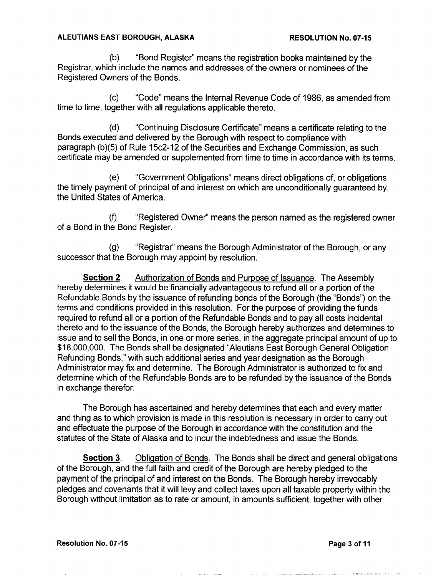(b) "Bond Register" means the registration books maintained by the Registrar, which include the names and addresses of the owners or nominees of the Registered Owners of the Bonds

(c) "Code" means the Internal Revenue Code of 1986, as amended from time to time, together with all regulations applicable thereto.

(d) "Continuing Disclosure Certificate" means a certificate relating to the Bonds executed and delivered by the Borough with respect to compliance with paragraph (b)(5) of Rule 15c2-12 of the Securities and Exchange Commission, as such certificate may be amended or supplemented from time to time in accordance with its terms

(e) "Government Obligations" means direct obligations of, or obligations the timely payment of principal of and interest on which are unconditionally guaranteed by the United States of America

(f) "Registered Owner" means the person named as the registered owner of <sup>a</sup> Bond in the Bond Register

(g) "Registrar" means the Borough Administrator of the Borough, or any successor that the Borough may appoint by resolution

**Section 2.** Authorization of Bonds and Purpose of Issuance. The Assembly hereby determines it would be financially advantageous to refund all or a portion of the Refundable Bonds by the issuance of refunding bonds of the Borough (the "Bonds") on the terms and conditions provided in this resolution. For the purpose of providing the funds required to refund all or <sup>a</sup> portion of the Refundable Bonds and to pay all costs incidental thereto and to the issuance of the Bonds, the Borough hereby authorizes and determines to issue and to sell the Bonds, in one or more series, in the aggregate principal amount of up to \$18,000,000. The Bonds shall be designated "Aleutians East Borough General Obligation Refunding Bonds," with such additional series and year designation as the Borough Administrator may fix and determine. The Borough Administrator is authorized to fix and determine which of the Refundable Bonds are to be refunded by the issuance of the Bonds in exchange therefor

The Borough has ascertained and hereby determines that each and every matter and thing as to which provision is made in this resolution is necessary in order to carry out and effectuate the purpose of the Borough in accordance with the constitution and the statutes of the State of Alaska and to incur the indebtedness and issue the Bonds.

Section 3. Obligation of Bonds. The Bonds shall be direct and general obligations of the Borough, and the full faith and credit of the Borough are hereby pledged to the payment of the principal of and interest on the Bonds. The Borough hereby irrevocably pledges and covenants that it will levy and collect taxes upon all taxable property within the Borough without limitation as to rate or amount, in amounts sufficient, together with other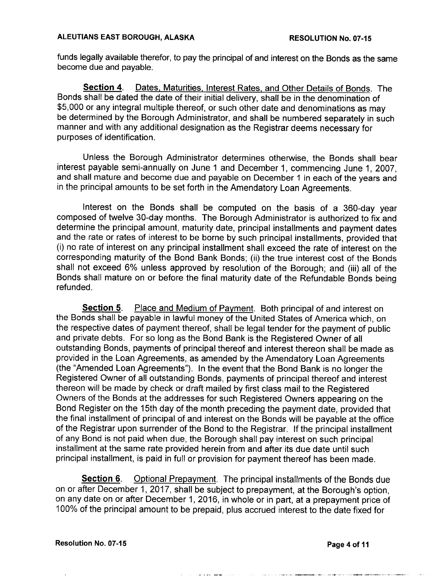funds legally available therefor, to pay the principal of and interest on the Bonds as the same become due and payable

Section 4. Dates, Maturities, Interest Rates, and Other Details of Bonds. The Bonds shall be dated the date of their initial delivery, shall be in the denomination of \$5,000 or any integral multiple thereof, or such other date and denominations as may be determined by the Borough Administrator, and shall be numbered separately in such manner and with any additional designation as the Registrar deems necessary for purposes of identification

Unless the Borough Administrator determines otherwise, the Bonds shall bear interest payable semi-annually on June 1 and December 1, commencing June 1, 2007, and shall mature and become due and payable on December <sup>1</sup> in each of the years and in the principal amounts to be set forth in the Amendatory Loan Agreements

Interest on the Bonds shall be computed on the basis of <sup>a</sup> <sup>360</sup> day year composed of twelve 30-day months. The Borough Administrator is authorized to fix and determine the principal amount, maturity date, principal installments and payment dates and the rate or rates of interest to be borne by such principal installments, provided that (i) no rate of interest on any principal installment shall exceed the rate of interest on the corresponding maturity of the Bond Bank Bonds; (ii) the true interest cost of the Bonds shall not exceed 6% unless approved by resolution of the Borough; and (iii) all of the Bonds shall mature on or before the final maturity date of the Refundable Bonds being refunded

**Section 5.** Place and Medium of Payment. Both principal of and interest on the Bonds shall be payable in lawful money of the United States of America which, on the respective dates of payment thereof, shall be legal tender for the payment of public and private debts. For so long as the Bond Bank is the Registered Owner of all outstanding Bonds, payments of principal thereof and interest thereon shall be made as provided in the Loan Agreements as amended by the Amendatory Loan Agreements (the "Amended Loan Agreements"). In the event that the Bond Bank is no longer the Registered Owner of all outstanding Bonds, payments of principal thereof and interest thereon will be made by check or draft mailed by first class mail to the Registered Owners of the Bonds at the addresses for such Registered Owners appearing on the Bond Register on the 15th day of the month preceding the payment date, provided that the final installment of principal of and interest on the Bonds will be payable at the office of the Registrar upon surrender of the Bond to the Registrar If the principal installment of any Bond is not paid when due, the Borough shall pay interest on such principal installment at the same rate provided herein from and after its due date until such principal installment, is paid in full or provision for payment thereof has been made.

Section 6. Optional Prepayment. The principal installments of the Bonds due on or after December 1, 2017, shall be subject to prepayment, at the Borough's option. on any date on or after December 1, 2016, in whole or in part, at a prepayment price of 100% of the principal amount to be prepaid, plus accrued interest to the date fixed for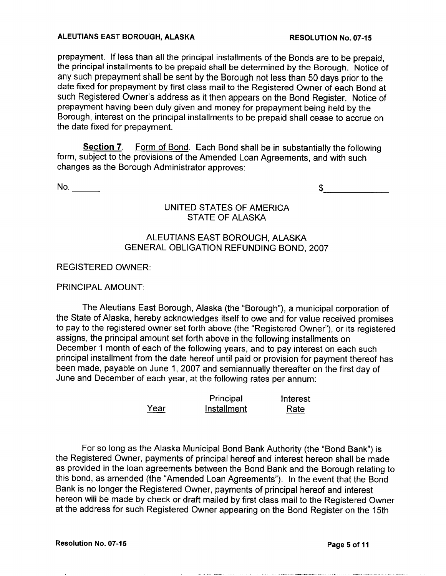prepayment. If less than all the principal installments of the Bonds are to be prepaid. the principal installments to be prepaid shall be determined by the Borough. Notice of any such prepayment shall be sent by the Borough not less than 50 days prior to the date fixed for prepayment by first class mail to the Registered Owner of each Bond at such Registered Owner's address as it then appears on the Bond Register. Notice of prepayment having been duly given and money for prepayment being held by the Borough interest on the principal installments to be prepaid shall cease to accrue on the date fixed for prepayment

Section 7. Form of Bond. Each Bond shall be in substantially the following form, subject to the provisions of the Amended Loan Agreements, and with such changes as the Borough Administrator approves

 $No.$ 

\$

# UNITED STATES OF AMERICA STATE OF ALASKA

# ALEUTIANS EAST BOROUGH, ALASKA **GENERAL OBLIGATION REFUNDING BOND. 2007**

REGISTERED OWNER

### PRINCIPAL AMOUNT

The Aleutians East Borough, Alaska (the "Borough"), a municipal corporation of the State of Alaska, hereby acknowledges itself to owe and for value received promises to pay to the registered owner set forth above (the "Registered Owner"), or its registered assigns, the principal amount set forth above in the following installments on December 1 month of each of the following years, and to pay interest on each such principal installment from the date hereof until paid or provision for payment thereof has been made, payable on June 1, 2007 and semiannually thereafter on the first day of June and December of each year, at the following rates per annum:

|      | Principal   | Interest |
|------|-------------|----------|
| Year | Installment | Rate     |

For so long as the Alaska Municipal Bond Bank Authority (the "Bond Bank") is the Registered Owner, payments of principal hereof and interest hereon shall be made as provided in the loan agreements between the Bond Bank and the Borough relating to this bond, as amended (the "Amended Loan Agreements"). In the event that the Bond Bank is no longer the Registered Owner, payments of principal hereof and interest hereon will be made by check or draft mailed by first class mail to the Registered Owner at the address for such Registered Owner appearing on the Bond Register on the 15th

and the season and decided to a second control of the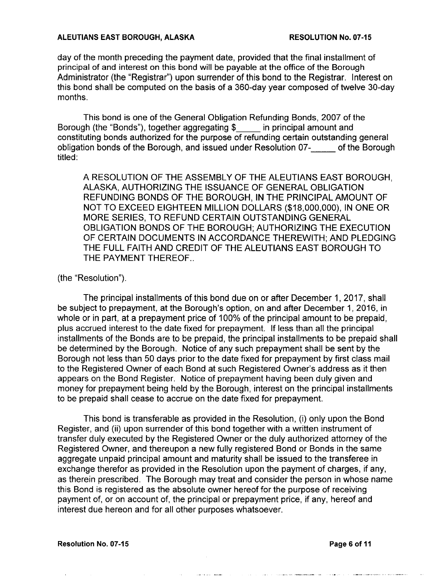day of the month preceding the payment date, provided that the final installment of principal of and interest on this bond will be payable at the office of the Borough Administrator (the "Registrar") upon surrender of this bond to the Registrar. Interest on this bond shall be computed on the basis of a 360-day year composed of twelve 30-day months

This bond is one of the General Obligation Refunding Bonds, 2007 of the Borough (the "Bonds"), together aggregating \$ in principal amount and Borough (the "Bonds"), together aggregating  $\$_{ \_\_\_\_\_\_\_\_\_\_\_\_\_\_\_\_\_\_\_\_\_\_\_\_\_\_\_\_}$  amount and constituting bonds authorized for the purpose of refunding certain outstanding general obligation bonds of the Borough, and issued under Resolution 07- of the Borough titled:

A RESOLUTION OF THE ASSEMBLY OF THE ALEUTIANS EAST BOROUGH ALASKA AUTHORIZING THE ISSUANCE OF GENERAL OBLIGATION REFUNDING BONDS OF THE BOROUGH, IN THE PRINCIPAL AMOUNT OF NOT TO EXCEED EIGHTEEN MILLION DOLLARS (\$18,000,000). IN ONE OR MORE SERIES TO REFUND CERTAIN OUTSTANDING GENERAL OBLIGATION BONDS OF THE BOROUGH; AUTHORIZING THE EXECUTION OF CERTAIN DOCUMENTS IN ACCORDANCE THEREWITH; AND PLEDGING THE FULL FAITH AND CREDIT OF THE ALEUTIANS EAST BOROUGH TO THE PAYMENT THEREOF.. THEREOF

### $(the "Resolution").$

The principal installments of this bond due on or after December 1, 2017, shall be subject to prepayment, at the Borough's option, on and after December 1, 2016, in whole or in part, at a prepayment price of 100% of the principal amount to be prepaid, plus accrued interest to the date fixed for prepayment. If less than all the principal installments of the Bonds are to be prepaid, the principal installments to be prepaid shall be determined by the Borough. Notice of any such prepayment shall be sent by the Borough not less than 50 days prior to the date fixed for prepayment by first class mail to the Registered Owner of each Bond at such Registered Owner's address as it then appears on the Bond Register. Notice of prepayment having been duly given and money for prepayment being held by the Borough, interest on the principal installments to be prepaid shall cease to accrue on the date fixed for prepayment

This bond is transferable as provided in the Resolution. (i) only upon the Bond Register, and (ii) upon surrender of this bond together with a written instrument of transfer duly executed by the Registered Owner or the duly authorized attorney of the Registered Owner, and thereupon a new fully registered Bond or Bonds in the same aggregate unpaid principal amount and maturity shall be issued to the transferee in exchange therefor as provided in the Resolution upon the payment of charges, if any, as therein prescribed. The Borough may treat and consider the person in whose name this Bond is registered as the absolute owner hereof for the purpose of receiving payment of, or on account of, the principal or prepayment price, if any, hereof and interest due hereon and for all other purposes whatsoever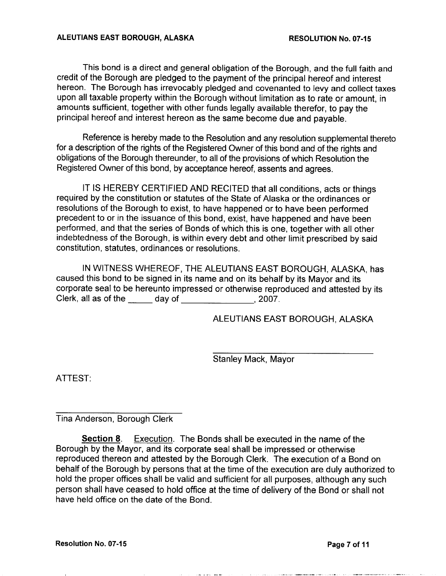This bond is a direct and general obligation of the Borough, and the full faith and credit of the Borough are pledged to the payment of the principal hereof and interest hereon. The Borough has irrevocably pledged and covenanted to levy and collect taxes upon all taxable property within the Borough without limitation as to rate or amount, in amounts sufficient, together with other funds legally available therefor, to pay the principal hereof and interest hereon as the same become due and payable

Reference is hereby made to the Resolution and any resolution supplemental thereto for <sup>a</sup> description of the rights of the Registered Owner of this bond and of the rights and obligations of the Borough thereunder, to all of the provisions of which Resolution the Registered Owner of this bond, by acceptance hereof, assents and agrees.

IT IS HEREBY CERTIFIED AND RECITED that all conditions acts or things required by the constitution or statutes of the State of Alaska or the ordinances or resolutions of the Borough to exist, to have happened or to have been performed precedent to or in the issuance of this bond, exist, have happened and have been performed, and that the series of Bonds of which this is one, together with all other indebtedness of the Borough, is within every debt and other limit prescribed by said constitution, statutes, ordinances or resolutions.

IN WITNESS WHEREOF, THE ALEUTIANS EAST BOROUGH, ALASKA, has caused this bond to be signed in its name and on its behalf by its Mayor and its corporate seal to be hereunto impressed or otherwise reproduced and attested by its Clerk, all as of the  $\qquad \qquad$  day of  $\qquad \qquad$  2007.

ALEUTIANS EAST BOROUGH, ALASKA

Stanley Mack, Mayor

ATTEST

Tina Anderson, Borough Clerk

**Section 8** Execution. The Bonds shall be executed in the name of the Borough by the Mayor, and its corporate seal shall be impressed or otherwise reproduced thereon and attested by the Borough Clerk. The execution of a Bond on behalf of the Borough by persons that at the time of the execution are duly authorized to hold the proper offices shall be valid and sufficient for all purposes, although any such person shall have ceased to hold office at the time of delivery of the Bond or shall not have held office on the date of the Bond.

Resolution No. 07-15 **Page 7 of 11**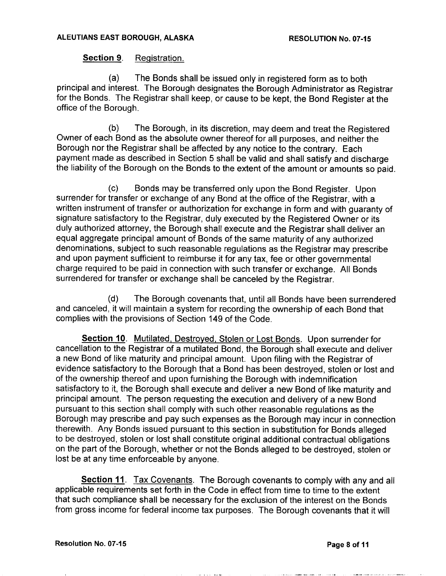## Section 9. Registration.

(a) The Bonds shall be issued only in registered form as to both principal and interest. The Borough designates the Borough Administrator as Registrar for the Bonds. The Registrar shall keep, or cause to be kept, the Bond Register at the office of the Borough

(b) The Borough, in its discretion, may deem and treat the Registered Owner of each Bond as the absolute owner thereof for all purposes, and neither the Borough nor the Registrar shall be affected by any notice to the contrary. Each payment made as described in Section <sup>5</sup> shall be valid and shall satisfy and discharge the liability of the Borough on the Bonds to the extent of the amount or amounts so paid

(c) Bonds may be transferred only upon the Bond Register. Upon surrender for transfer or exchange of any Bond at the office of the Registrar, with a written instrument of transfer or authorization for exchange in form and with guaranty of signature satisfactory to the Registrar, duly executed by the Registered Owner or its duly authorized attorney, the Borough shall execute and the Registrar shall deliver an equal aggregate principal amount of Bonds of the same maturity of any authorized denominations, subject to such reasonable regulations as the Registrar may prescribe and upon payment sufficient to reimburse it for any tax, fee or other governmental charge required to be paid in connection with such transfer or exchange. All Bonds surrendered for transfer or exchange shall be canceled by the Registrar.

(d) The Borough covenants that, until all Bonds have been surrendered and canceled, it will maintain a system for recording the ownership of each Bond that complies with the provisions of Section <sup>149</sup> of the Code

Section 10. Mutilated, Destroyed, Stolen or Lost Bonds. Upon surrender for cancellation to the Registrar of a mutilated Bond, the Borough shall execute and deliver a new Bond of like maturity and principal amount. Upon filing with the Registrar of evidence satisfactory to the Borough that a Bond has been destroyed, stolen or lost and of the ownership thereof and upon furnishing the Borough with indemnification satisfactory to it, the Borough shall execute and deliver a new Bond of like maturity and principal amount. The person requesting the execution and delivery of a new Bond pursuant to this section shall comply with such other reasonable regulations as the Borough may prescribe and pay such expenses as the Borough may incur in connection therewith. Any Bonds issued pursuant to this section in substitution for Bonds alleged to be destroyed, stolen or lost shall constitute original additional contractual obligations on the part of the Borough, whether or not the Bonds alleged to be destroyed, stolen or lost be at any time enforceable by anyone

**Section 11**. Tax Covenants. The Borough covenants to comply with any and all applicable requirements set forth in the Code in effect from time to time to the extent that such compliance shall be necessary for the exclusion of the interest on the Bonds from gross income for federal income tax purposes. The Borough covenants that it will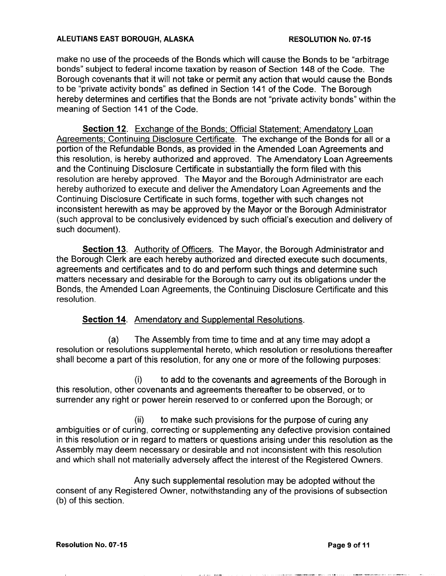make no use of the proceeds of the Bonds which will cause the Bonds to be "arbitrage" bonds" subject to federal income taxation by reason of Section 148 of the Code. The Borough covenants that it will not take or permit any action that would cause the Bonds to be "private activity bonds" as defined in Section 141 of the Code. The Borough hereby determines and certifies that the Bonds are not "private activity bonds" within the meaning of Section <sup>141</sup> of the Code

Section 12. Exchange of the Bonds; Official Statement; Amendatory Loan Agreements; Continuing Disclosure Certificate. The exchange of the Bonds for all or a portion of the Refundable Bonds, as provided in the Amended Loan Agreements and this resolution, is hereby authorized and approved. The Amendatory Loan Agreements and the Continuing Disclosure Certificate in substantially the form filed with this resolution are hereby approved. The Mayor and the Borough Administrator are each hereby authorized to execute and deliver the Amendatory Loan Agreements and the Continuing Disclosure Certificate in such forms together with such changes not inconsistent herewith as may be approved by the Mayor or the Borough Administrator (such approval to be conclusively evidenced by such official's execution and delivery of such document).

Section 13. Authority of Officers. The Mayor, the Borough Administrator and the Borough Clerk are each hereby authorized and directed execute such documents agreements and certificates and to do and perform such things and determine such matters necessary and desirable for the Borough to carry out its obligations under the Bonds, the Amended Loan Agreements, the Continuing Disclosure Certificate and this resolution

# **Section 14.** Amendatory and Supplemental Resolutions.

(a) The Assembly from time to time and at any time may adopt a resolution or resolutions supplemental hereto, which resolution or resolutions thereafter shall become a part of this resolution, for any one or more of the following purposes:

 $(i)$  to add to the covenants and agreements of the Borough in this resolution, other covenants and agreements thereafter to be observed, or to surrender any right or power herein reserved to or conferred upon the Borough; or

 $(ii)$  to make such provisions for the purpose of curing any ambiguities or of curing, correcting or supplementing any defective provision contained in this resolution or in regard to matters or questions arising under this resolution as the Assembly may deem necessary or desirable and not inconsistent with this resolution and which shall not materially adversely affect the interest of the Registered Owners

Any such supplemental resolution may be adopted without the consent of any Registered Owner, notwithstanding any of the provisions of subsection (b) of this section.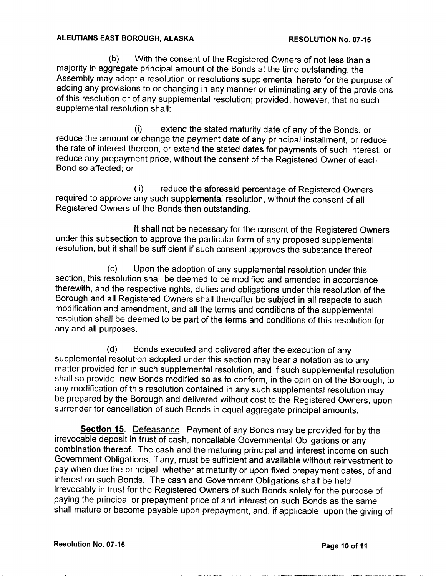(b) With the consent of the Registered Owners of not less than a majority in aggregate principal amount of the Bonds at the time outstanding, the Assembly may adopt <sup>a</sup> resolution or resolutions supplemental hereto for the purpose of adding any provisions to or changing in any manner or eliminating any of the provisions of this resolution or of any supplemental resolution; provided, however, that no such supplemental resolution shall:

 $(i)$  extend the stated maturity date of any of the Bonds, or reduce the amount or change the payment date of any principal installment, or reduce the rate of interest thereon, or extend the stated dates for payments of such interest, or reduce any prepayment price, without the consent of the Registered Owner of each Bond so affected: or

(ii) reduce the aforesaid percentage of Registered Owners required to approve any such supplemental resolution, without the consent of all Registered Owners of the Bonds then outstanding

It shall not be necessary for the consent of the Registered Owners under this subsection to approve the particular form of any proposed supplemental resolution, but it shall be sufficient if such consent approves the substance thereof.

 $(c)$  Upon the adoption of any supplemental resolution under this section, this resolution shall be deemed to be modified and amended in accordance therewith, and the respective rights, duties and obligations under this resolution of the Borough and all Registered Owners shall thereafter be subject in all respects to such modification and amendment, and all the terms and conditions of the supplemental resolution shall be deemed to be part of the terms and conditions of this resolution for any and all purposes

(d) Bonds executed and delivered after the execution of any supplemental resolution adopted under this section may bear a notation as to any matter provided for in such supplemental resolution, and if such supplemental resolution shall so provide, new Bonds modified so as to conform, in the opinion of the Borough, to any modification of this resolution contained in any such supplemental resolution may be prepared by the Borough and delivered without cost to the Registered Owners, upon surrender for cancellation of such Bonds in equal aggregate principal amounts.

Section 15. Defeasance. Payment of any Bonds may be provided for by the irrevocable deposit in trust of cash, noncallable Governmental Obligations or any combination thereof. The cash and the maturing principal and interest income on such Government Obligations, if any, must be sufficient and available without reinvestment to pay when due the principal, whether at maturity or upon fixed prepayment dates, of and interest on such Bonds. The cash and Government Obligations shall be held irrevocably in trust for the Registered Owners of such Bonds solely for the purpose of paying the principal or prepayment price of and interest on such Bonds as the same shall mature or become payable upon prepayment, and, if applicable, upon the giving of